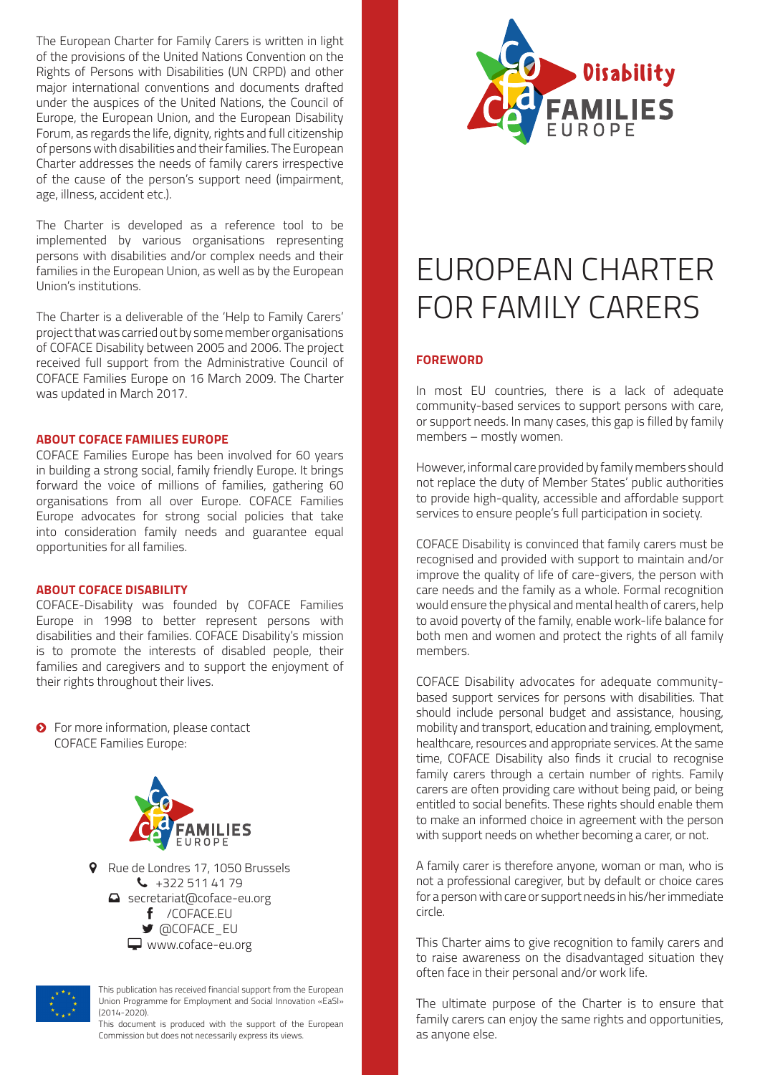The European Charter for Family Carers is written in light of the provisions of the United Nations Convention on the Rights of Persons with Disabilities (UN CRPD) and other major international conventions and documents drafted under the auspices of the United Nations, the Council of Europe, the European Union, and the European Disability Forum, as regards the life, dignity, rights and full citizenship of persons with disabilities and their families. The European Charter addresses the needs of family carers irrespective of the cause of the person's support need (impairment, age, illness, accident etc.).

The Charter is developed as a reference tool to be implemented by various organisations representing persons with disabilities and/or complex needs and their families in the European Union, as well as by the European Union's institutions.

The Charter is a deliverable of the 'Help to Family Carers' project that was carried out by some member organisations of COFACE Disability between 2005 and 2006. The project received full support from the Administrative Council of COFACE Families Europe on 16 March 2009. The Charter was updated in March 2017.

### **ABOUT COFACE FAMILIES EUROPE**

COFACE Families Europe has been involved for 60 years in building a strong social, family friendly Europe. It brings forward the voice of millions of families, gathering 60 organisations from all over Europe. COFACE Families Europe advocates for strong social policies that take into consideration family needs and guarantee equal opportunities for all families.

### **ABOUT COFACE DISABILITY**

COFACE-Disability was founded by COFACE Families Europe in 1998 to better represent persons with disabilities and their families. COFACE Disability's mission is to promote the interests of disabled people, their families and caregivers and to support the enjoyment of their rights throughout their lives.

**O** For more information, please contact COFACE Families Europe:



**Q** Rue de Londres 17, 1050 Brussels  $\begin{array}{@{}c@{\hspace{1em}}c@{\hspace{1em}}l} \mathbf{\text{L}} & +3225114179 \end{array}$ Secretariat@coface-eu.org f /COFACE.EU **■** @COFACE\_EU www.coface-eu.org



This publication has received financial support from the European Union Programme for Employment and Social Innovation «EaSI» (2014-2020).

This document is produced with the support of the European Commission but does not necessarily express its views.



# EUROPEAN CHARTER FOR FAMILY CARERS

### **FOREWORD**

In most EU countries, there is a lack of adequate community-based services to support persons with care, or support needs. In many cases, this gap is filled by family members – mostly women.

However, informal care provided by family members should not replace the duty of Member States' public authorities to provide high-quality, accessible and affordable support services to ensure people's full participation in society.

COFACE Disability is convinced that family carers must be recognised and provided with support to maintain and/or improve the quality of life of care-givers, the person with care needs and the family as a whole. Formal recognition would ensure the physical and mental health of carers, help to avoid poverty of the family, enable work-life balance for both men and women and protect the rights of all family members.

COFACE Disability advocates for adequate communitybased support services for persons with disabilities. That should include personal budget and assistance, housing, mobility and transport, education and training, employment, healthcare, resources and appropriate services. At the same time, COFACE Disability also finds it crucial to recognise family carers through a certain number of rights. Family carers are often providing care without being paid, or being entitled to social benefits. These rights should enable them to make an informed choice in agreement with the person with support needs on whether becoming a carer, or not.

A family carer is therefore anyone, woman or man, who is not a professional caregiver, but by default or choice cares for a person with care or support needs in his/her immediate circle.

This Charter aims to give recognition to family carers and to raise awareness on the disadvantaged situation they often face in their personal and/or work life.

The ultimate purpose of the Charter is to ensure that family carers can enjoy the same rights and opportunities, as anyone else.